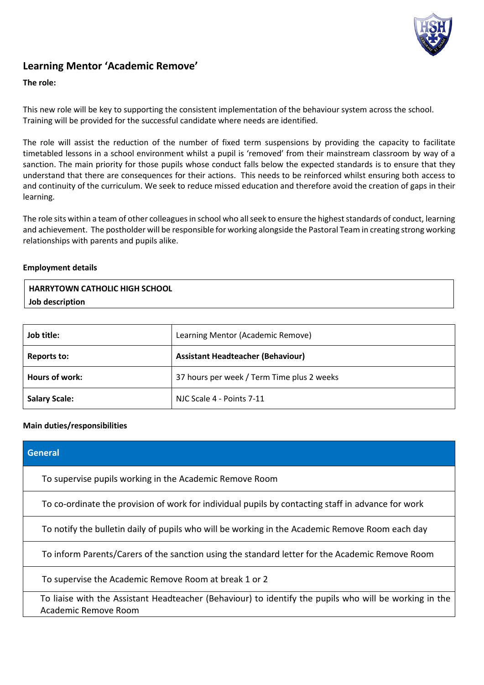

# **Learning Mentor 'Academic Remove'**

#### **The role:**

This new role will be key to supporting the consistent implementation of the behaviour system across the school. Training will be provided for the successful candidate where needs are identified.

The role will assist the reduction of the number of fixed term suspensions by providing the capacity to facilitate timetabled lessons in a school environment whilst a pupil is 'removed' from their mainstream classroom by way of a sanction. The main priority for those pupils whose conduct falls below the expected standards is to ensure that they understand that there are consequences for their actions. This needs to be reinforced whilst ensuring both access to and continuity of the curriculum. We seek to reduce missed education and therefore avoid the creation of gaps in their learning.

The role sits within a team of other colleagues in school who all seek to ensure the highest standards of conduct, learning and achievement. The postholder will be responsible for working alongside the Pastoral Team in creating strong working relationships with parents and pupils alike.

#### **Employment details**

| <b>HARRYTOWN CATHOLIC HIGH SCHOOL</b> |  |
|---------------------------------------|--|
| Job description                       |  |

| Job title:           | Learning Mentor (Academic Remove)          |
|----------------------|--------------------------------------------|
| Reports to:          | <b>Assistant Headteacher (Behaviour)</b>   |
| Hours of work:       | 37 hours per week / Term Time plus 2 weeks |
| <b>Salary Scale:</b> | NJC Scale 4 - Points 7-11                  |

### **Main duties/responsibilities**

| <b>General</b>                                                                                                                 |
|--------------------------------------------------------------------------------------------------------------------------------|
| To supervise pupils working in the Academic Remove Room                                                                        |
| To co-ordinate the provision of work for individual pupils by contacting staff in advance for work                             |
| To notify the bulletin daily of pupils who will be working in the Academic Remove Room each day                                |
| To inform Parents/Carers of the sanction using the standard letter for the Academic Remove Room                                |
| To supervise the Academic Remove Room at break 1 or 2                                                                          |
| To liaise with the Assistant Headteacher (Behaviour) to identify the pupils who will be working in the<br>Academic Remove Room |